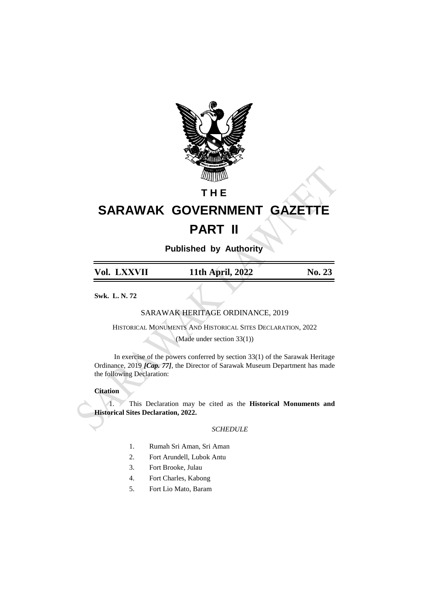

## **T H E**

## **SARAWAK GOVERNMENT GAZETTE PART II**

**Published by Authority**

| Vol. LXXVII | 11th April, 2022 | <b>No. 23</b> |
|-------------|------------------|---------------|
|             |                  |               |

**Swk. L. N. 72**

SARAWAK HERITAGE ORDINANCE, 2019

HISTORICAL MONUMENTS AND HISTORICAL SITES DECLARATION, 2022

(Made under section 33(1))

In exercise of the powers conferred by section 33(1) of the Sarawak Heritage Ordinance, 2019 *[Cap. 77]*, the Director of Sarawak Museum Department has made the following Declaration:

## **Citation**

1. This Declaration may be cited as the **Historical Monuments and Historical Sites Declaration, 2022.**

## *SCHEDULE*

- 1. Rumah Sri Aman, Sri Aman
- 2. Fort Arundell, Lubok Antu
- 3. Fort Brooke, Julau
- 4. Fort Charles, Kabong
- 5. Fort Lio Mato, Baram